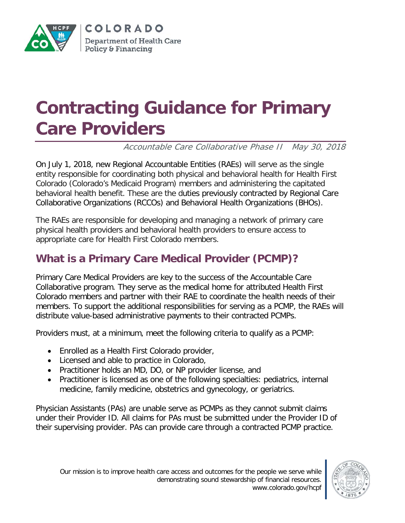

# **Contracting Guidance for Primary Care Providers**

Accountable Care Collaborative Phase II May 30, 2018

On July 1, 2018, new Regional Accountable Entities (RAEs) will serve as the single entity responsible for coordinating both physical and behavioral health for Health First Colorado (Colorado's Medicaid Program) members and administering the capitated behavioral health benefit. These are the duties previously contracted by Regional Care Collaborative Organizations (RCCOs) and Behavioral Health Organizations (BHOs).

The RAEs are responsible for developing and managing a network of primary care physical health providers and behavioral health providers to ensure access to appropriate care for Health First Colorado members.

# **What is a Primary Care Medical Provider (PCMP)?**

Primary Care Medical Providers are key to the success of the Accountable Care Collaborative program. They serve as the medical home for attributed Health First Colorado members and partner with their RAE to coordinate the health needs of their members. To support the additional responsibilities for serving as a PCMP, the RAEs will distribute value-based administrative payments to their contracted PCMPs.

Providers must, at a minimum, meet the following criteria to qualify as a PCMP:

- Enrolled as a Health First Colorado provider,
- Licensed and able to practice in Colorado,
- Practitioner holds an MD, DO, or NP provider license, and
- Practitioner is licensed as one of the following specialties: pediatrics, internal medicine, family medicine, obstetrics and gynecology, or geriatrics.

Physician Assistants (PAs) are unable serve as PCMPs as they cannot submit claims under their Provider ID. All claims for PAs must be submitted under the Provider ID of their supervising provider. PAs can provide care through a contracted PCMP practice.

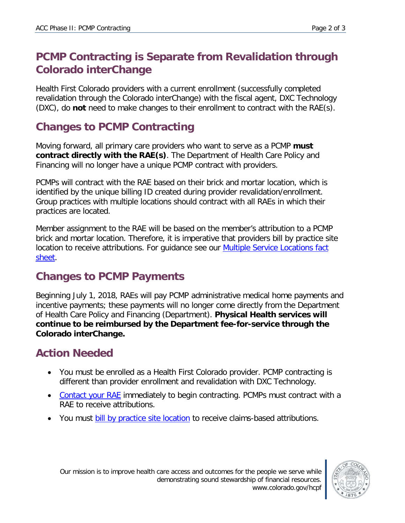## **PCMP Contracting is Separate from Revalidation through Colorado interChange**

Health First Colorado providers with a current enrollment (successfully completed revalidation through the Colorado interChange) with the fiscal agent, DXC Technology (DXC), do **not** need to make changes to their enrollment to contract with the RAE(s).

## **Changes to PCMP Contracting**

Moving forward, all primary care providers who want to serve as a PCMP **must contract directly with the RAE(s)**. The Department of Health Care Policy and Financing will no longer have a unique PCMP contract with providers.

PCMPs will contract with the RAE based on their brick and mortar location, which is identified by the unique billing ID created during provider revalidation/enrollment. Group practices with multiple locations should contract with all RAEs in which their practices are located.

Member assignment to the RAE will be based on the member's attribution to a PCMP brick and mortar location. Therefore, it is imperative that providers bill by practice site location to receive attributions. For guidance see our **Multiple Service Locations fact** [sheet.](https://www.colorado.gov/pacific/sites/default/files/Enrolling%20and%20billing%20by%20location.pdf)

#### **Changes to PCMP Payments**

Beginning July 1, 2018, RAEs will pay PCMP administrative medical home payments and incentive payments; these payments will no longer come directly from the Department of Health Care Policy and Financing (Department). **Physical Health services will continue to be reimbursed by the Department fee-for-service through the Colorado interChange.**

#### **Action Needed**

- You must be enrolled as a Health First Colorado provider. PCMP contracting is different than provider enrollment and revalidation with DXC Technology.
- [Contact your RAE](https://www.colorado.gov/hcpf/accphase2) immediately to begin contracting. PCMPs must contract with a RAE to receive attributions.
- You must bill [by practice site location](https://www.colorado.gov/pacific/sites/default/files/Enrolling%20and%20billing%20by%20location.pdf) to receive claims-based attributions.